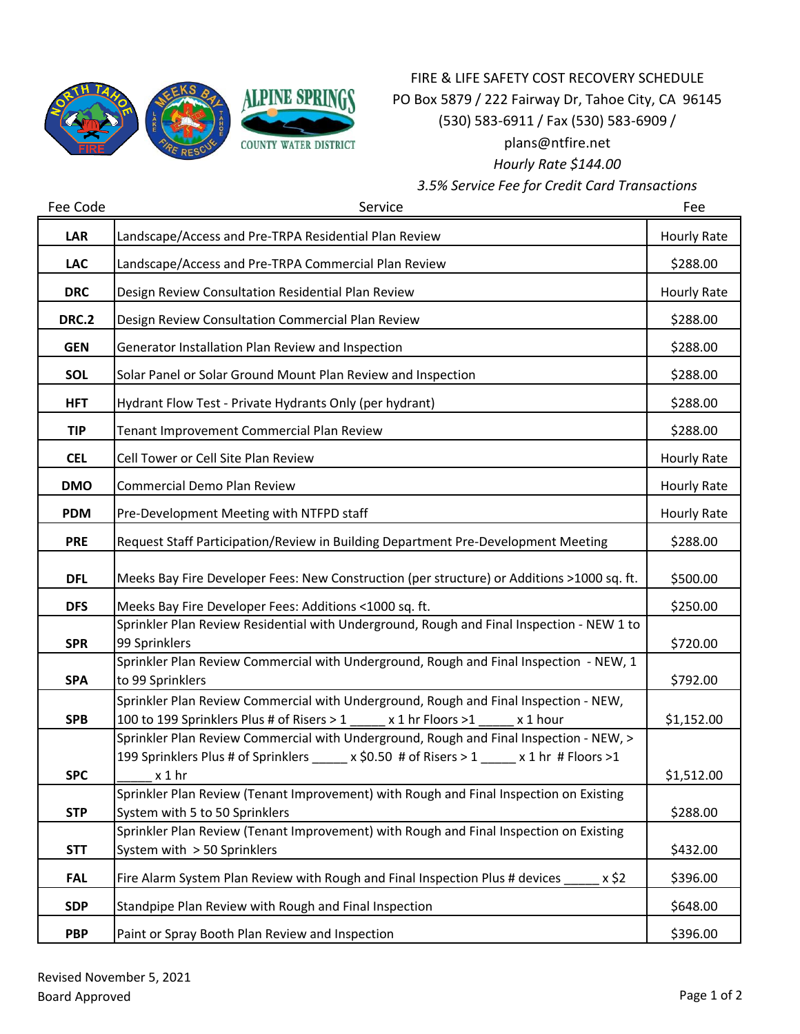

## FIRE & LIFE SAFETY COST RECOVERY SCHEDULE PO Box 5879 / 222 Fairway Dr, Tahoe City, CA 96145 (530) 583-6911 / Fax (530) 583-6909 / plans@ntfire.net *Hourly Rate \$144.00*

*3.5% Service Fee for Credit Card Transactions*

| Fee Code     | Service                                                                                                                                                              | Fee                |
|--------------|----------------------------------------------------------------------------------------------------------------------------------------------------------------------|--------------------|
| LAR          | Landscape/Access and Pre-TRPA Residential Plan Review                                                                                                                | Hourly Rate        |
| <b>LAC</b>   | Landscape/Access and Pre-TRPA Commercial Plan Review                                                                                                                 | \$288.00           |
| <b>DRC</b>   | Design Review Consultation Residential Plan Review                                                                                                                   | <b>Hourly Rate</b> |
| <b>DRC.2</b> | Design Review Consultation Commercial Plan Review                                                                                                                    | \$288.00           |
| <b>GEN</b>   | Generator Installation Plan Review and Inspection                                                                                                                    | \$288.00           |
| SOL          | Solar Panel or Solar Ground Mount Plan Review and Inspection                                                                                                         | \$288.00           |
| <b>HFT</b>   | Hydrant Flow Test - Private Hydrants Only (per hydrant)                                                                                                              | \$288.00           |
| <b>TIP</b>   | Tenant Improvement Commercial Plan Review                                                                                                                            | \$288.00           |
| <b>CEL</b>   | Cell Tower or Cell Site Plan Review                                                                                                                                  | Hourly Rate        |
| <b>DMO</b>   | Commercial Demo Plan Review                                                                                                                                          | Hourly Rate        |
| <b>PDM</b>   | Pre-Development Meeting with NTFPD staff                                                                                                                             | Hourly Rate        |
| <b>PRE</b>   | Request Staff Participation/Review in Building Department Pre-Development Meeting                                                                                    | \$288.00           |
| <b>DFL</b>   | Meeks Bay Fire Developer Fees: New Construction (per structure) or Additions >1000 sq. ft.                                                                           | \$500.00           |
| <b>DFS</b>   | Meeks Bay Fire Developer Fees: Additions <1000 sq. ft.                                                                                                               | \$250.00           |
|              | Sprinkler Plan Review Residential with Underground, Rough and Final Inspection - NEW 1 to                                                                            |                    |
| <b>SPR</b>   | 99 Sprinklers                                                                                                                                                        | \$720.00           |
|              | Sprinkler Plan Review Commercial with Underground, Rough and Final Inspection - NEW, 1                                                                               |                    |
| <b>SPA</b>   | to 99 Sprinklers                                                                                                                                                     | \$792.00           |
|              | Sprinkler Plan Review Commercial with Underground, Rough and Final Inspection - NEW,                                                                                 |                    |
| <b>SPB</b>   | 100 to 199 Sprinklers Plus # of Risers > 1<br>x 1 hr Floors >1<br>x 1 hour<br>Sprinkler Plan Review Commercial with Underground, Rough and Final Inspection - NEW, > | \$1,152.00         |
|              | 199 Sprinklers Plus # of Sprinklers ______ x \$0.50 # of Risers > 1 ______ x 1 hr # Floors >1                                                                        |                    |
| <b>SPC</b>   | $x 1$ hr                                                                                                                                                             | \$1,512.00         |
|              | Sprinkler Plan Review (Tenant Improvement) with Rough and Final Inspection on Existing                                                                               |                    |
| <b>STP</b>   | System with 5 to 50 Sprinklers                                                                                                                                       | \$288.00           |
|              | Sprinkler Plan Review (Tenant Improvement) with Rough and Final Inspection on Existing                                                                               |                    |
| <b>STT</b>   | System with > 50 Sprinklers                                                                                                                                          | \$432.00           |
| <b>FAL</b>   | Fire Alarm System Plan Review with Rough and Final Inspection Plus # devices<br>x \$2                                                                                | \$396.00           |
| <b>SDP</b>   | Standpipe Plan Review with Rough and Final Inspection                                                                                                                | \$648.00           |
| <b>PBP</b>   | Paint or Spray Booth Plan Review and Inspection                                                                                                                      | \$396.00           |